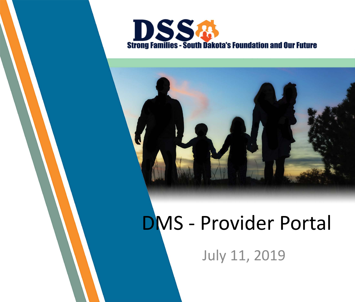



## DMS - Provider Portal

July 11, 2019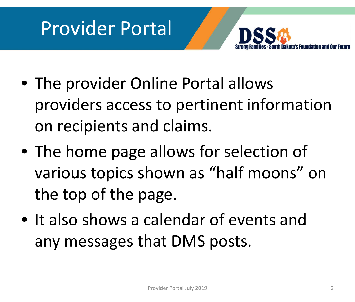



- The provider Online Portal allows providers access to pertinent information on recipients and claims.
- The home page allows for selection of various topics shown as "half moons" on the top of the page.
- It also shows a calendar of events and any messages that DMS posts.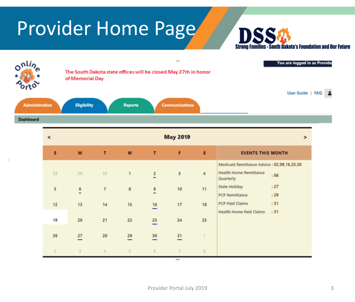## Provider Home Page



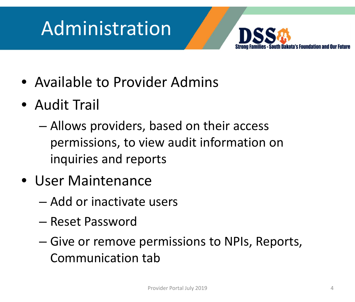## Administration



- Available to Provider Admins
- Audit Trail
	- Allows providers, based on their access permissions, to view audit information on inquiries and reports
- User Maintenance
	- Add or inactivate users
	- Reset Password
	- Give or remove permissions to NPIs, Reports, Communication tab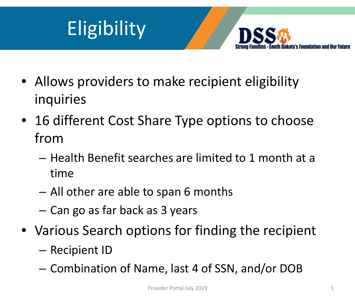



- Allows providers to make recipient eligibility inquiries
- 16 different Cost Share Type options to choose from
	- Health Benefit searches are limited to 1 month at a time
	- All other are able to span 6 months
	- Can go as far back as 3 years
- Various Search options for finding the recipient
	- Recipient ID
	- Combination of Name, last 4 of SSN, and/or DOB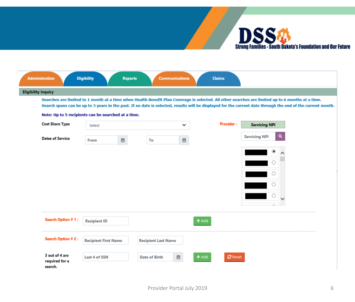

| <b>Eligibility Inquiry</b>                                                                                                                                                                                                                                                                                       |                             |                                |                            |                                |         |                  |                      |   |
|------------------------------------------------------------------------------------------------------------------------------------------------------------------------------------------------------------------------------------------------------------------------------------------------------------------|-----------------------------|--------------------------------|----------------------------|--------------------------------|---------|------------------|----------------------|---|
| Searches are limited to 1 month at a time when Health Benefit Plan Coverage is selected. All other searches are limited up to 6 months at a time.<br>Search spans can be up to 3 years in the past. If no date is selected, results will be displayed for the current date through the end of the current month. |                             |                                |                            |                                |         |                  |                      |   |
| Note: Up to 5 recipients can be searched at a time.                                                                                                                                                                                                                                                              |                             |                                |                            |                                |         |                  |                      |   |
| <b>Cost Share Type</b>                                                                                                                                                                                                                                                                                           | Select                      |                                |                            | $\checkmark$                   |         | <b>Provider:</b> | <b>Servicing NPI</b> |   |
| <b>Dates of Service</b>                                                                                                                                                                                                                                                                                          | From                        | $\mathop{^{\rm int}}\nolimits$ | To                         | 曲                              |         |                  | <b>Servicing NPI</b> | Q |
|                                                                                                                                                                                                                                                                                                                  |                             |                                |                            |                                |         |                  | $^\circledR$         |   |
|                                                                                                                                                                                                                                                                                                                  |                             |                                |                            |                                |         |                  |                      |   |
|                                                                                                                                                                                                                                                                                                                  |                             |                                |                            |                                |         |                  |                      |   |
|                                                                                                                                                                                                                                                                                                                  |                             |                                |                            |                                |         |                  |                      |   |
|                                                                                                                                                                                                                                                                                                                  |                             |                                |                            |                                |         |                  |                      |   |
|                                                                                                                                                                                                                                                                                                                  |                             |                                |                            |                                |         |                  |                      |   |
| Search Option #1:                                                                                                                                                                                                                                                                                                | <b>Recipient ID</b>         |                                |                            |                                | $+$ Add |                  |                      |   |
| Search Option #2:                                                                                                                                                                                                                                                                                                | <b>Recipient First Name</b> |                                | <b>Recipient Last Name</b> |                                |         |                  |                      |   |
| 3 out of 4 are                                                                                                                                                                                                                                                                                                   | Last 4 of SSN               |                                | <b>Date of Birth</b>       | $\mathop{^{\rm int}}\nolimits$ | $+$ Add | <b>B</b> Reset   |                      |   |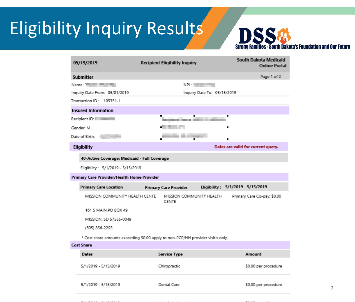### Eligibility Inquiry Results



Courth Delrote Modicaid

| 05/19/2019                                   | <b>Recipient Eligibility Inquiry</b>                                             | SOULII DAKOLA MEGICAIG<br><b>Online Portal</b> |
|----------------------------------------------|----------------------------------------------------------------------------------|------------------------------------------------|
| Submitter                                    |                                                                                  | Page 1 of 2                                    |
| Name: William Miller                         | NPI:                                                                             |                                                |
| Inquiry Date From: 05/01/2019                |                                                                                  | Inquiry Date To: 05/15/2019                    |
| Transaction ID: 105351-1                     |                                                                                  |                                                |
| <b>Insured Information</b>                   |                                                                                  |                                                |
| Recipient ID: The Telesting                  | п<br><b>Section of Editor A 1991</b>                                             |                                                |
| Gender: M                                    |                                                                                  |                                                |
| Date of Birth:<br><b>CONTRACTOR</b>          | <b><i>CALCULATION</i></b>                                                        |                                                |
| <b>Eligibility</b>                           |                                                                                  | Dates are valid for current query.             |
| 40-Active Coverage: Medicaid - Full Coverage |                                                                                  |                                                |
| Eligibility: 5/1/2019 - 5/15/2019            |                                                                                  |                                                |
| Primary Care Provider/Health Home Provider   |                                                                                  |                                                |
| <b>Primary Care Location</b>                 | <b>Primary Care Provider</b>                                                     | Eligibility: 5/1/2019 - 5/15/2019              |
| MISSION COMMUNITY HEALTH CENTE               | MISSION COMMUNITY HEALTH<br>CENTE                                                | Primary Care Co-pay: \$0.00                    |
| 161 S MAIN, PO BOX 49                        |                                                                                  |                                                |
| MISSION, SD 57555-0049                       |                                                                                  |                                                |
| (605) 856-2295                               |                                                                                  |                                                |
|                                              | * Cost share amounts exceeding \$0.00 apply to non-PCP/HH provider visitis only. |                                                |
| <b>Cost Share</b>                            |                                                                                  |                                                |
| Dates                                        | <b>Service Type</b>                                                              | Amount                                         |
| 5/1/2019 - 5/15/2019                         | Chiropractic                                                                     | \$0.00 per procedure                           |
| 5/1/2019 - 5/15/2019                         | Dental Care                                                                      | \$0.00 per procedure                           |
|                                              |                                                                                  |                                                |
|                                              |                                                                                  |                                                |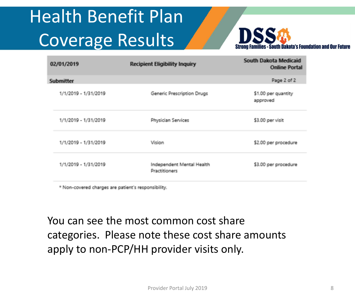## Health Benefit Plan Coverage Results



| 02/01/2019           | <b>Recipient Eligibility Inquiry</b>        | South Dakota Medicaid<br><b>Online Portal</b> |
|----------------------|---------------------------------------------|-----------------------------------------------|
| Submitter            |                                             | Page 2 of 2                                   |
| 1/1/2019 - 1/31/2019 | Generic Prescription Drugs                  | \$1.00 per quantity<br>approved               |
| 1/1/2019 - 1/31/2019 | Physician Services                          | \$3.00 per visit                              |
| 1/1/2019 - 1/31/2019 | Vision                                      | \$2.00 per procedure                          |
| 1/1/2019 - 1/31/2019 | Independent Mental Health<br>Practitioners. | \$3.00 per procedure                          |
|                      |                                             |                                               |

\* Non-covered charges are patient's responsibility.

You can see the most common cost share categories. Please note these cost share amounts apply to non-PCP/HH provider visits only.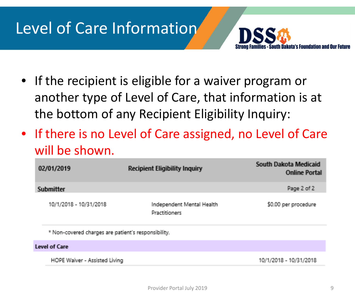#### Level of Care Information



- If the recipient is eligible for a waiver program or another type of Level of Care, that information is at the bottom of any Recipient Eligibility Inquiry:
- If there is no Level of Care assigned, no Level of Care will be shown.

| 02/01/2019                                          | <b>Recipient Eligibility Inquiry</b>              | South Dakota Medicaid<br><b>Online Portal</b> |
|-----------------------------------------------------|---------------------------------------------------|-----------------------------------------------|
| Submitter                                           |                                                   | Page 2 of 2                                   |
| 10/1/2018 - 10/31/2018                              | Independent Mental Health<br><b>Practitioners</b> | \$0.00 per procedure                          |
| * Non-covered charges are patient's responsibility. |                                                   |                                               |
|                                                     |                                                   |                                               |

#### **Level of Care**

HOPE Waiver - Assisted Living

10/1/2018 - 10/31/2018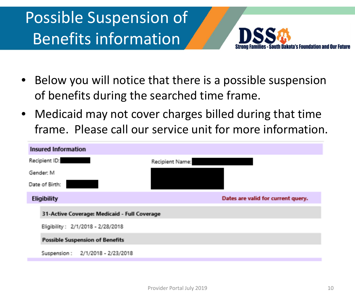#### Possible Suspension of Benefits information



- Below you will notice that there is a possible suspension of benefits during the searched time frame.
- Medicaid may not cover charges billed during that time frame. Please call our service unit for more information.

| <b>Insured Information</b>                   |                                    |
|----------------------------------------------|------------------------------------|
| Recipient ID:                                | Recipient Name:                    |
| Gender: M                                    |                                    |
| Date of Birth:                               |                                    |
| <b>Eligibility</b>                           | Dates are valid for current query. |
| 31-Active Coverage: Medicaid - Full Coverage |                                    |
| Eligibility: 2/1/2018 - 2/28/2018            |                                    |
| <b>Possible Suspension of Benefits</b>       |                                    |
| Suspension: 2/1/2018 - 2/23/2018             |                                    |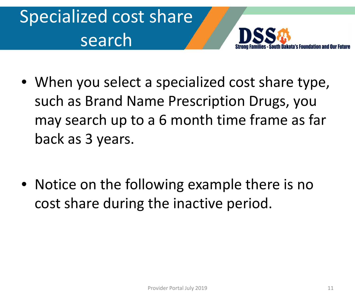

- When you select a specialized cost share type, such as Brand Name Prescription Drugs, you may search up to a 6 month time frame as far back as 3 years.
- Notice on the following example there is no cost share during the inactive period.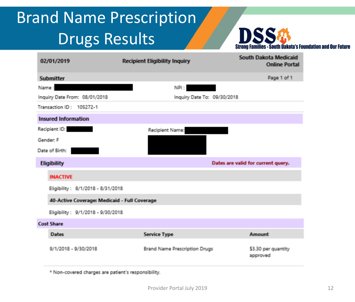#### Brand Name Prescription Drugs Results



| 02/01/2019                                   | <b>Recipient Eligibility Inquiry</b> | South Dakota Medicaid<br><b>Online Portal</b> |
|----------------------------------------------|--------------------------------------|-----------------------------------------------|
| Submitter                                    |                                      | Page 1 of 1                                   |
| Name:                                        | NPL:                                 |                                               |
| Inquiry Date From: 08/01/2018                | Inquiry Date To: 09/30/2018          |                                               |
| Transaction ID: 105272-1                     |                                      |                                               |
| <b>Insured Information</b>                   |                                      |                                               |
| Recipient ID:                                | Recipient Name:                      |                                               |
| Gender: F                                    |                                      |                                               |
| Date of Birth:                               |                                      |                                               |
| <b>Eligibility</b>                           |                                      | Dates are valid for current query.            |
| <b>INACTIVE</b>                              |                                      |                                               |
| Eligibility: 8/1/2018 - 8/31/2018            |                                      |                                               |
| 40-Active Coverage: Medicaid - Full Coverage |                                      |                                               |
| Eligibility: 9/1/2018 - 9/30/2018            |                                      |                                               |
| <b>Cost Share</b>                            |                                      |                                               |
| <b>Dates</b>                                 | <b>Service Type</b>                  | <b>Amount</b>                                 |
| 9/1/2018 - 9/30/2018                         | Brand Name Prescription Drugs        | \$3.30 per quantity<br>approved               |
|                                              |                                      |                                               |

\* Non-covered charges are patient's responsibility.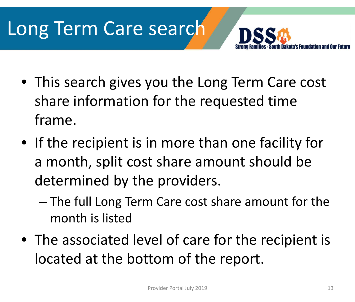

- This search gives you the Long Term Care cost share information for the requested time frame.
- If the recipient is in more than one facility for a month, split cost share amount should be determined by the providers.
	- The full Long Term Care cost share amount for the month is listed
- The associated level of care for the recipient is located at the bottom of the report.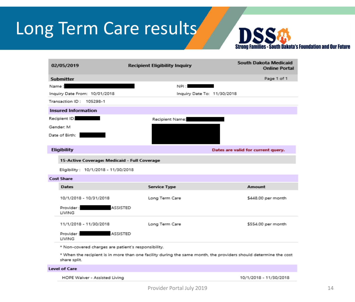#### Long Term Care results



|       | 02/05/2019                                          | <b>Recipient Eligibility Inquiry</b>                                                                                         | South Dakota Medicaid<br><b>Online Portal</b> |
|-------|-----------------------------------------------------|------------------------------------------------------------------------------------------------------------------------------|-----------------------------------------------|
|       | <b>Submitter</b>                                    |                                                                                                                              | Page 1 of 1                                   |
| Name: |                                                     | NPI:<br><u>e de la provincia de la provincia de la provincia de la provincia de la provincia de la provincia de la provi</u> |                                               |
|       | Inquiry Date From: 10/01/2018                       | Inquiry Date To: 11/30/2018                                                                                                  |                                               |
|       | Transaction ID: 105298-1                            |                                                                                                                              |                                               |
|       | <b>Insured Information</b>                          |                                                                                                                              |                                               |
|       | Recipient ID:                                       | Recipient Name:                                                                                                              |                                               |
|       | Gender: M                                           |                                                                                                                              |                                               |
|       | Date of Birth:                                      |                                                                                                                              |                                               |
|       | <b>Eligibility</b>                                  |                                                                                                                              | Dates are valid for current query.            |
|       | 15-Active Coverage: Medicaid - Full Coverage        |                                                                                                                              |                                               |
|       | Eligibility: 10/1/2018 - 11/30/2018                 |                                                                                                                              |                                               |
|       | <b>Cost Share</b>                                   |                                                                                                                              |                                               |
|       | <b>Dates</b>                                        | <b>Service Type</b>                                                                                                          | Amount                                        |
|       | 10/1/2018 - 10/31/2018                              | Long Term Care                                                                                                               | \$448.00 per month                            |
|       | Provider:<br><b>ASSISTED</b><br>LIVING              |                                                                                                                              |                                               |
|       | 11/1/2018 - 11/30/2018                              | Long Term Care                                                                                                               | \$554.00 per month                            |
|       | <b>ASSISTED</b><br>Provider:<br><b>LIVING</b>       |                                                                                                                              |                                               |
|       | * Non-covered charges are patient's responsibility. |                                                                                                                              |                                               |
|       | share split.                                        | * When the recipient is in more than one facility during the same month, the providers should determine the cost             |                                               |
|       | <b>Level of Care</b>                                |                                                                                                                              |                                               |
|       |                                                     |                                                                                                                              |                                               |

HOPE Waiver - Assisted Living

10/1/2018 - 11/30/2018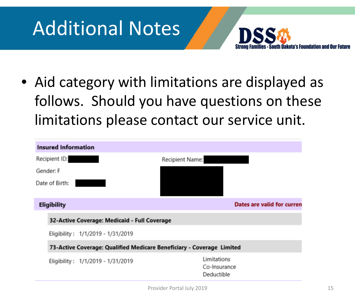## Additional Notes



• Aid category with limitations are displayed as follows. Should you have questions on these limitations please contact our service unit.

| <b>Insured Information</b> |                                                                       |                                           |                            |
|----------------------------|-----------------------------------------------------------------------|-------------------------------------------|----------------------------|
| Recipient ID:              |                                                                       | Recipient Name:                           |                            |
| Gender: F                  |                                                                       |                                           |                            |
| Date of Birth:             |                                                                       |                                           |                            |
|                            |                                                                       |                                           |                            |
| <b>Eligibility</b>         |                                                                       |                                           | Dates are valid for curren |
|                            | 32-Active Coverage: Medicaid - Full Coverage                          |                                           |                            |
|                            | Eligibility: 1/1/2019 - 1/31/2019                                     |                                           |                            |
|                            | 73-Active Coverage: Qualified Medicare Beneficiary - Coverage Limited |                                           |                            |
|                            | Eligibility: 1/1/2019 - 1/31/2019                                     | Limitations<br>Co-Insurance<br>Deductible |                            |
|                            |                                                                       |                                           |                            |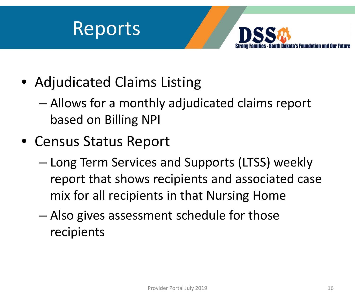



- Adjudicated Claims Listing
	- Allows for a monthly adjudicated claims report based on Billing NPI
- Census Status Report
	- Long Term Services and Supports (LTSS) weekly report that shows recipients and associated case mix for all recipients in that Nursing Home
	- Also gives assessment schedule for those recipients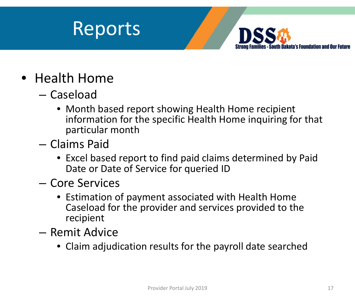



- Health Home
	- Caseload
		- Month based report showing Health Home recipient information for the specific Health Home inquiring for that particular month
	- Claims Paid
		- Excel based report to find paid claims determined by Paid Date or Date of Service for queried ID
	- Core Services
		- Estimation of payment associated with Health Home Caseload for the provider and services provided to the recipient
	- Remit Advice
		- Claim adjudication results for the payroll date searched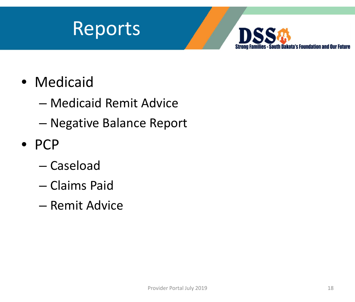



- Medicaid
	- Medicaid Remit Advice
	- Negative Balance Report
- PCP
	- Caseload
	- Claims Paid
	- Remit Advice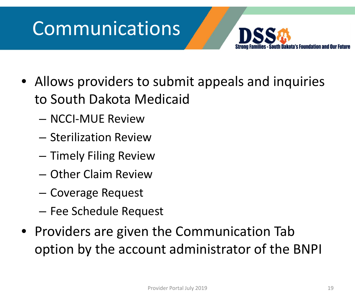## Communications



- Allows providers to submit appeals and inquiries to South Dakota Medicaid
	- NCCI-MUE Review
	- Sterilization Review
	- Timely Filing Review
	- Other Claim Review
	- Coverage Request
	- Fee Schedule Request
- Providers are given the Communication Tab option by the account administrator of the BNPI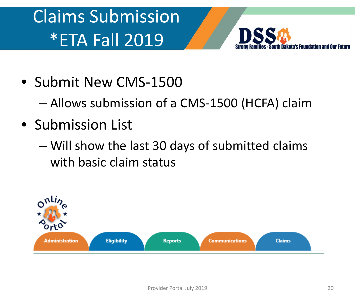## Claims Submission \*ETA Fall 2019



- Submit New CMS-1500
	- Allows submission of a CMS-1500 (HCFA) claim
- Submission List
	- Will show the last 30 days of submitted claims with basic claim status

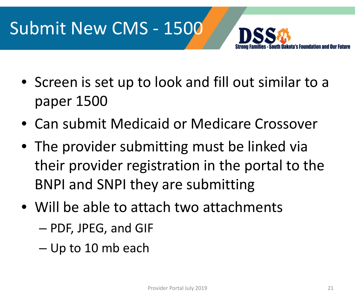

- Screen is set up to look and fill out similar to a paper 1500
- Can submit Medicaid or Medicare Crossover
- The provider submitting must be linked via their provider registration in the portal to the BNPI and SNPI they are submitting
- Will be able to attach two attachments
	- PDF, JPEG, and GIF
	- Up to 10 mb each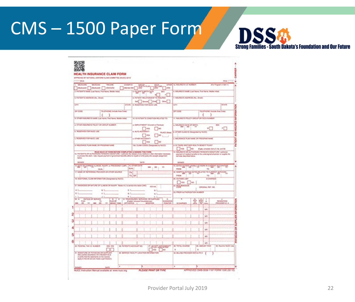#### CMS – 1500 Paper Form



| PROVED BY NATIONAL UNIFORM DLAN COMMITTEE INLICCI (GY)Z<br>T. PKM                                                                                                                                                                                                               |                                                                                         | PEA IT                                                                                                          |
|---------------------------------------------------------------------------------------------------------------------------------------------------------------------------------------------------------------------------------------------------------------------------------|-----------------------------------------------------------------------------------------|-----------------------------------------------------------------------------------------------------------------|
| MECHC HAND<br><b>MUSCAD</b><br><b>CHAIR</b> M<br>TRUCK IN                                                                                                                                                                                                                       | <b>CITI-ALB</b>                                                                         | TA, INSUREETS LO. NUMBER<br>For Program in Italy 12                                                             |
| <b>Neilla Dit</b><br><b>Unexchange</b><br>(Mediach)<br>(ID#OxO4)                                                                                                                                                                                                                | <b>College</b><br>To PLAN<br>VOW                                                        |                                                                                                                 |
| 2. FATERT'S NAME Cast Renta, Fost Name, Middle Initial                                                                                                                                                                                                                          | 1. PACEPATT BATH CATE<br><b>SEX</b>                                                     | 4. ASURED'S NAME CAN Norie, Fire Rame, Mode Initials                                                            |
|                                                                                                                                                                                                                                                                                 | ×<br>M                                                                                  |                                                                                                                 |
| L PATENTS ADDRESS (No. Since)                                                                                                                                                                                                                                                   | 6. PATHINT PELATION/SHP TO RISUPED<br>low<br>Synon)<br>Ohe                              | T. ASUNED'S ADDRESS (No., Siree).                                                                               |
| CITY<br><b>BTATE</b>                                                                                                                                                                                                                                                            | 6. RESERVED FOR MACC VIIA                                                               | 51478<br>CITY                                                                                                   |
|                                                                                                                                                                                                                                                                                 |                                                                                         |                                                                                                                 |
| <b>IV-0006</b><br>TELEPHONE circlude fires Codes                                                                                                                                                                                                                                |                                                                                         | <b>DP GOOS</b><br>FELLIPPEONE CRISINAL AVEN CITED<br>٦                                                          |
| 8 OTHER AGUASTER NAME CLAIR Stores, First Harne, Millella Isrkell,                                                                                                                                                                                                              | IS IS PATENT'S CONSTION RELATED TO:                                                     | ı<br>11. INSURED EPOLICY GROUP OR FECA SUMMER                                                                   |
|                                                                                                                                                                                                                                                                                 |                                                                                         |                                                                                                                 |
| A CTHER REMIND'S POLICY OR GROUP MUMILIN                                                                                                                                                                                                                                        | a. BMILOYMENTY (Durant or Previous)                                                     | <b>KINDSON OF BILL</b><br><b>SER</b>                                                                            |
|                                                                                                                                                                                                                                                                                 | Ives.<br><b>NO</b>                                                                      | ×Г<br>w)                                                                                                        |
| In Palisa Profile FOR NorDC LINE                                                                                                                                                                                                                                                | <b>B. AUTO ACCORAT?</b><br><b>PLACE (State)</b><br><b>VIII</b><br>×                     | 3. CFHER CLAIM @ (Desgrated by MJCC)                                                                            |
| A RESERVED FOR HUGE USE                                                                                                                                                                                                                                                         | 4. GTHER ACCIOENTS                                                                      | a INSURANCE PLAN NAME OR PROGRAM HAME                                                                           |
|                                                                                                                                                                                                                                                                                 | <b>VER</b>                                                                              |                                                                                                                 |
| 4 INSURANCE PLAN NAME OR PROGRAM NAME                                                                                                                                                                                                                                           | TOO CLAIM COOKS (Designated by MUCC)                                                    | 8. IS THERE AND THER HEALTH DENETT PLANT                                                                        |
| READ BACK OF FORM BEFORE COMPLETING & SIGNING THIS FORM.                                                                                                                                                                                                                        |                                                                                         | VIS 40<br>if you complete herts it, bu and let<br>15. Adjustery's OA au/Hackbook PERSON'S SKIAN/URE I authorize |
| 12. PATIENTS OR AUTHORIZED PERSON'S SIGNATURE. I authorize the release of any necksal or other information recessary<br>to pricess this claim. I also request payment of government banefils affred to myself or to the party who accepts assignment<br><b>Salicia</b><br>bowbb | CATE                                                                                    | payment of medical benefits to the understyned physician or supplier for<br>services described below.<br>BOWD   |
| IN DETECT CONTENT ELECTION PLANT, or PRESIMATE GARY                                                                                                                                                                                                                             | <b>H. OTHER DKTS</b>                                                                    | HE ENTER FATIONS JOURNALS TO WORK IN CURRENT COCUPATION                                                         |
| <b>OUR</b>                                                                                                                                                                                                                                                                      | 00<br>٧w<br><b>DUAL</b>                                                                 | FIREMA<br><b>30</b>                                                                                             |
| 17. Next OF REFERRAL PROVIDER OR OTHER SOURCE                                                                                                                                                                                                                                   | the.                                                                                    | is won't guidings outst peut to to current generals,                                                            |
| IS, ADDITIONAL DUAM INFORMATION (Designated by NUDD)                                                                                                                                                                                                                            | th.<br>turn                                                                             | <b>FROM</b><br>10<br><b>IN OUTSIDE LABS</b><br><b>E DIMAGES</b>                                                 |
|                                                                                                                                                                                                                                                                                 |                                                                                         | $-141$<br>NO                                                                                                    |
| 21. DIAGNOSIS OR NATURE OF ILLNESS OR BUURY. Relate A-L to service the Selow (24E).                                                                                                                                                                                             | <b>KOD HAL</b>                                                                          | <b>IS NOT WELL ON</b><br>ORIGINAL REF. NO.                                                                      |
| A1<br>e l<br>R <sub>1</sub>                                                                                                                                                                                                                                                     | a.                                                                                      |                                                                                                                 |
| $E_{1}$<br>6.7<br>6.1                                                                                                                                                                                                                                                           | u.                                                                                      | 23. PROR AUTHORIZATION NUMBER                                                                                   |
| K.<br>De, A<br><b>GATER OF MIRVIO</b><br>ч                                                                                                                                                                                                                                      | PROCEDURES, SERVICES OR SUPPLIES<br>E                                                   |                                                                                                                 |
| Form.<br><b>Via</b><br>PLACE DR<br><b>MA</b><br>00<br>50<br>EMO<br>THOTO<br>MAG                                                                                                                                                                                                 | <b>NATIONAL REAL</b><br><b>Explain Units</b><br><b>ANNOUNCES</b><br>MODP KIR<br>POINTER | <b>NENDERWA</b><br>in.<br>LOWAX<br><b>PACHICKS C. 4</b><br><b>Stuff</b>                                         |
|                                                                                                                                                                                                                                                                                 |                                                                                         |                                                                                                                 |
|                                                                                                                                                                                                                                                                                 |                                                                                         | MR                                                                                                              |
|                                                                                                                                                                                                                                                                                 |                                                                                         | <b>kally</b>                                                                                                    |
|                                                                                                                                                                                                                                                                                 |                                                                                         |                                                                                                                 |
|                                                                                                                                                                                                                                                                                 |                                                                                         | NF1                                                                                                             |
|                                                                                                                                                                                                                                                                                 |                                                                                         |                                                                                                                 |
|                                                                                                                                                                                                                                                                                 |                                                                                         |                                                                                                                 |
|                                                                                                                                                                                                                                                                                 |                                                                                         | MF1                                                                                                             |
|                                                                                                                                                                                                                                                                                 |                                                                                         | NF1                                                                                                             |
|                                                                                                                                                                                                                                                                                 |                                                                                         |                                                                                                                 |
|                                                                                                                                                                                                                                                                                 |                                                                                         | NP:                                                                                                             |
| <b>956 EN</b>                                                                                                                                                                                                                                                                   | 26. PATENTS ACCOUNT NO.<br><b>PT ACCEPT ASSOCIATION</b>                                 | <b>IN TOTAL OHANGE</b><br><b>38 AMOUNT FAID</b><br>30. Revel for NUCC Use                                       |
| INCLUDING DEGREES OR CREDENTINUS<br>(I santify that the statements on the revenue<br>Elong Twice share waiting at any month.                                                                                                                                                    | <b>Typis</b><br><b>No.</b><br>M. SERVICE FACILITY LOCATION INFORMATION                  | ٠<br>×<br>15 BILING PROVIDER NFO & PHA                                                                          |
| 26. PEDERAL TAX LD. MJARICH<br>In Selections or Persidiate on Survivalia                                                                                                                                                                                                        |                                                                                         |                                                                                                                 |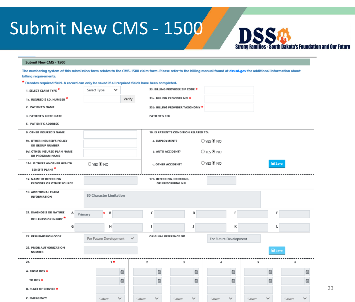#### Submit New CMS - 1500



#### Submit New CMS - 1500

The numbering system of this submission form relates to the CMS-1500 claim form. Please refer to the billing manual found at dss.sd.gov for additional information about billing requirements.

| 33. BILLING PROVIDER ZIP CODE *<br>1. SELECT CLAIM TYPE *<br>$\check{ }$<br>Select Type<br>33a, BILLING PROVIDER NPI *<br>Verify<br>1a. INSURED'S I.D. NUMBER *<br>2. PATIENT'S NAME<br>33b. BILLING PROVIDER TAXONOMY *<br>3. PATIENT'S BIRTH DATE<br>PATIENT'S SEX<br>5. PATIENT'S ADDRESS<br>9. OTHER INSURED'S NAME<br>10. IS PATIENT'S CONDITION RELATED TO:<br>O YES ® NO<br>9a. OTHER INSURED'S POLICY<br>a. EMPLOYMENT?<br>OR GROUP NUMBER<br>O YES ® NO<br><b>b. AUTO ACCIDENT?</b><br>9d. OTHER INSURED PLAN NAME<br>OR PROGRAM NAME<br>O YES ® NO<br>11d. IS THERE ANOTHER HEALTH<br><b>B</b> Save<br>O YES ONO<br>c. OTHER ACCIDENT?<br>BENEFIT PLAN? <sup>*</sup><br>17. NAME OF REFERRING<br>17b. REFERRING, ORDERING,<br>PROVIDER OR OTHER SOURCE<br>OR PRESCRIBING NPI<br><b>19. ADDITIONAL CLAIM</b><br><b>80 Character Limitation</b><br><b>INFORMATION</b><br>21. DIAGNOSIS OR NATURE<br>F.<br>$\mathsf{C}$<br>D<br>E<br>$\mathsf{A}$<br>В<br>*<br>Primary<br>OF ILLNESS OR INJURY<br>К<br>G<br>н<br>22. RESUBMISSION CODE<br>ORIGINAL REFERENCE NO<br>V<br>For Future Development<br>For Future Development<br>23. PRIOR AUTHORIZATION<br><b>B</b> Save<br>NUMBER<br>24.<br>$1*$<br>$\overline{\mathbf{2}}$<br>3<br>$\bf{4}$<br>5<br>6<br>茴<br>茴<br>茴<br>茴<br>ö<br>自<br>A. FROM DOS *<br>曲<br>茴<br>茴<br>茴<br>茴<br>TO DOS *<br>茴<br><b>B. PLACE OF SERVICE *</b><br>C. EMERGENCY<br>$\checkmark$<br>$\checkmark$<br>$\checkmark$<br>$\checkmark$<br>✓<br>$\checkmark$<br>Select<br>Select<br>Select<br>Select<br>Select<br>Select | Denotes required field. A record can only be saved if all required fields have been completed. |  |  |  |  |  |  |  |  |
|------------------------------------------------------------------------------------------------------------------------------------------------------------------------------------------------------------------------------------------------------------------------------------------------------------------------------------------------------------------------------------------------------------------------------------------------------------------------------------------------------------------------------------------------------------------------------------------------------------------------------------------------------------------------------------------------------------------------------------------------------------------------------------------------------------------------------------------------------------------------------------------------------------------------------------------------------------------------------------------------------------------------------------------------------------------------------------------------------------------------------------------------------------------------------------------------------------------------------------------------------------------------------------------------------------------------------------------------------------------------------------------------------------------------------------------------------------------------------------------------------------------------------------------------------|------------------------------------------------------------------------------------------------|--|--|--|--|--|--|--|--|
|                                                                                                                                                                                                                                                                                                                                                                                                                                                                                                                                                                                                                                                                                                                                                                                                                                                                                                                                                                                                                                                                                                                                                                                                                                                                                                                                                                                                                                                                                                                                                      |                                                                                                |  |  |  |  |  |  |  |  |
|                                                                                                                                                                                                                                                                                                                                                                                                                                                                                                                                                                                                                                                                                                                                                                                                                                                                                                                                                                                                                                                                                                                                                                                                                                                                                                                                                                                                                                                                                                                                                      |                                                                                                |  |  |  |  |  |  |  |  |
|                                                                                                                                                                                                                                                                                                                                                                                                                                                                                                                                                                                                                                                                                                                                                                                                                                                                                                                                                                                                                                                                                                                                                                                                                                                                                                                                                                                                                                                                                                                                                      |                                                                                                |  |  |  |  |  |  |  |  |
|                                                                                                                                                                                                                                                                                                                                                                                                                                                                                                                                                                                                                                                                                                                                                                                                                                                                                                                                                                                                                                                                                                                                                                                                                                                                                                                                                                                                                                                                                                                                                      |                                                                                                |  |  |  |  |  |  |  |  |
|                                                                                                                                                                                                                                                                                                                                                                                                                                                                                                                                                                                                                                                                                                                                                                                                                                                                                                                                                                                                                                                                                                                                                                                                                                                                                                                                                                                                                                                                                                                                                      |                                                                                                |  |  |  |  |  |  |  |  |
|                                                                                                                                                                                                                                                                                                                                                                                                                                                                                                                                                                                                                                                                                                                                                                                                                                                                                                                                                                                                                                                                                                                                                                                                                                                                                                                                                                                                                                                                                                                                                      |                                                                                                |  |  |  |  |  |  |  |  |
|                                                                                                                                                                                                                                                                                                                                                                                                                                                                                                                                                                                                                                                                                                                                                                                                                                                                                                                                                                                                                                                                                                                                                                                                                                                                                                                                                                                                                                                                                                                                                      |                                                                                                |  |  |  |  |  |  |  |  |
|                                                                                                                                                                                                                                                                                                                                                                                                                                                                                                                                                                                                                                                                                                                                                                                                                                                                                                                                                                                                                                                                                                                                                                                                                                                                                                                                                                                                                                                                                                                                                      |                                                                                                |  |  |  |  |  |  |  |  |
|                                                                                                                                                                                                                                                                                                                                                                                                                                                                                                                                                                                                                                                                                                                                                                                                                                                                                                                                                                                                                                                                                                                                                                                                                                                                                                                                                                                                                                                                                                                                                      |                                                                                                |  |  |  |  |  |  |  |  |
|                                                                                                                                                                                                                                                                                                                                                                                                                                                                                                                                                                                                                                                                                                                                                                                                                                                                                                                                                                                                                                                                                                                                                                                                                                                                                                                                                                                                                                                                                                                                                      |                                                                                                |  |  |  |  |  |  |  |  |
|                                                                                                                                                                                                                                                                                                                                                                                                                                                                                                                                                                                                                                                                                                                                                                                                                                                                                                                                                                                                                                                                                                                                                                                                                                                                                                                                                                                                                                                                                                                                                      |                                                                                                |  |  |  |  |  |  |  |  |
|                                                                                                                                                                                                                                                                                                                                                                                                                                                                                                                                                                                                                                                                                                                                                                                                                                                                                                                                                                                                                                                                                                                                                                                                                                                                                                                                                                                                                                                                                                                                                      |                                                                                                |  |  |  |  |  |  |  |  |
|                                                                                                                                                                                                                                                                                                                                                                                                                                                                                                                                                                                                                                                                                                                                                                                                                                                                                                                                                                                                                                                                                                                                                                                                                                                                                                                                                                                                                                                                                                                                                      |                                                                                                |  |  |  |  |  |  |  |  |
|                                                                                                                                                                                                                                                                                                                                                                                                                                                                                                                                                                                                                                                                                                                                                                                                                                                                                                                                                                                                                                                                                                                                                                                                                                                                                                                                                                                                                                                                                                                                                      |                                                                                                |  |  |  |  |  |  |  |  |
|                                                                                                                                                                                                                                                                                                                                                                                                                                                                                                                                                                                                                                                                                                                                                                                                                                                                                                                                                                                                                                                                                                                                                                                                                                                                                                                                                                                                                                                                                                                                                      |                                                                                                |  |  |  |  |  |  |  |  |
|                                                                                                                                                                                                                                                                                                                                                                                                                                                                                                                                                                                                                                                                                                                                                                                                                                                                                                                                                                                                                                                                                                                                                                                                                                                                                                                                                                                                                                                                                                                                                      |                                                                                                |  |  |  |  |  |  |  |  |
|                                                                                                                                                                                                                                                                                                                                                                                                                                                                                                                                                                                                                                                                                                                                                                                                                                                                                                                                                                                                                                                                                                                                                                                                                                                                                                                                                                                                                                                                                                                                                      |                                                                                                |  |  |  |  |  |  |  |  |
|                                                                                                                                                                                                                                                                                                                                                                                                                                                                                                                                                                                                                                                                                                                                                                                                                                                                                                                                                                                                                                                                                                                                                                                                                                                                                                                                                                                                                                                                                                                                                      |                                                                                                |  |  |  |  |  |  |  |  |
|                                                                                                                                                                                                                                                                                                                                                                                                                                                                                                                                                                                                                                                                                                                                                                                                                                                                                                                                                                                                                                                                                                                                                                                                                                                                                                                                                                                                                                                                                                                                                      |                                                                                                |  |  |  |  |  |  |  |  |
|                                                                                                                                                                                                                                                                                                                                                                                                                                                                                                                                                                                                                                                                                                                                                                                                                                                                                                                                                                                                                                                                                                                                                                                                                                                                                                                                                                                                                                                                                                                                                      |                                                                                                |  |  |  |  |  |  |  |  |
|                                                                                                                                                                                                                                                                                                                                                                                                                                                                                                                                                                                                                                                                                                                                                                                                                                                                                                                                                                                                                                                                                                                                                                                                                                                                                                                                                                                                                                                                                                                                                      |                                                                                                |  |  |  |  |  |  |  |  |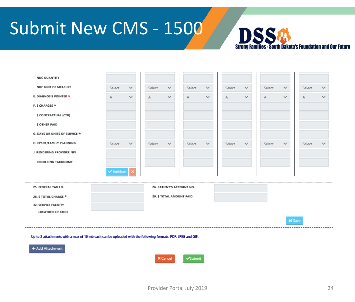



| <b>NDC QUANTITY</b>                  |                                                                                                             |              |        |                 |                           |              |        |              |        |              |               |              |
|--------------------------------------|-------------------------------------------------------------------------------------------------------------|--------------|--------|-----------------|---------------------------|--------------|--------|--------------|--------|--------------|---------------|--------------|
| <b>NDC UNIT OF MEASURE</b>           | Select                                                                                                      | $\checkmark$ | Select | $\checkmark$    | Select                    | $\checkmark$ | Select | $\checkmark$ | Select | $\checkmark$ | Select        | $\checkmark$ |
| E. DIAGNOSIS POINTER *               | A                                                                                                           | $\checkmark$ | А      | $\checkmark$    | А                         | $\checkmark$ | А      | $\checkmark$ | A      | $\checkmark$ | Α             | $\checkmark$ |
| F. \$ CHARGES *                      |                                                                                                             |              |        |                 |                           |              |        |              |        |              |               |              |
| \$ CONTRACTUAL (CTR)                 |                                                                                                             |              |        |                 |                           |              |        |              |        |              |               |              |
| <b>\$ OTHER PAID</b>                 |                                                                                                             |              |        |                 |                           |              |        |              |        |              |               |              |
| <b>G. DAYS OR UNITS OF SERVICE *</b> |                                                                                                             |              |        |                 |                           |              |        |              |        |              |               |              |
| H. EPSDT/FAMILY PLANNING             | Select                                                                                                      | $\checkmark$ | Select | $\checkmark$    | Select                    | $\checkmark$ | Select | $\checkmark$ | Select | $\checkmark$ | Select        | $\checkmark$ |
| J. RENDERING PROVIDER NPI            |                                                                                                             |              |        |                 |                           |              |        |              |        |              |               |              |
| <b>RENDERING TAXONOMY</b>            |                                                                                                             |              |        |                 |                           |              |        |              |        |              |               |              |
|                                      | Validate                                                                                                    |              |        |                 |                           |              |        |              |        |              |               |              |
|                                      |                                                                                                             |              |        |                 |                           |              |        |              |        |              |               |              |
| 25. FEDERAL TAX I.D.                 |                                                                                                             |              |        |                 | 26. PATIENT'S ACCOUNT NO. |              |        |              |        |              |               |              |
| 28. \$ TOTAL CHARGE *                |                                                                                                             |              |        |                 | 29. \$ TOTAL AMOUNT PAID  |              |        |              |        |              |               |              |
| <b>32. SERVICE FACILITY</b>          |                                                                                                             |              |        |                 |                           |              |        |              |        |              |               |              |
| <b>LOCATION ZIP CODE</b>             |                                                                                                             |              |        |                 |                           |              |        |              |        |              |               |              |
|                                      |                                                                                                             |              |        |                 |                           |              |        |              |        |              | <b>B</b> Save |              |
|                                      |                                                                                                             |              |        |                 |                           |              |        |              |        |              |               |              |
|                                      |                                                                                                             |              |        |                 |                           |              |        |              |        |              |               |              |
|                                      | Up to 2 attachments with a max of 10 mb each can be uploaded with the following formats. PDF, JPEG and GIF. |              |        |                 |                           |              |        |              |        |              |               |              |
| + Add Attachment                     |                                                                                                             |              |        |                 |                           |              |        |              |        |              |               |              |
|                                      |                                                                                                             |              |        | <b>X</b> Cancel | <b>V</b> Submit           |              |        |              |        |              |               |              |
|                                      |                                                                                                             |              |        |                 |                           |              |        |              |        |              |               |              |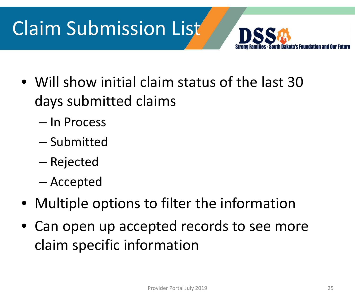# Claim Submission List



- Will show initial claim status of the last 30 days submitted claims
	- In Process
	- Submitted
	- Rejected
	- Accepted
- Multiple options to filter the information
- Can open up accepted records to see more claim specific information